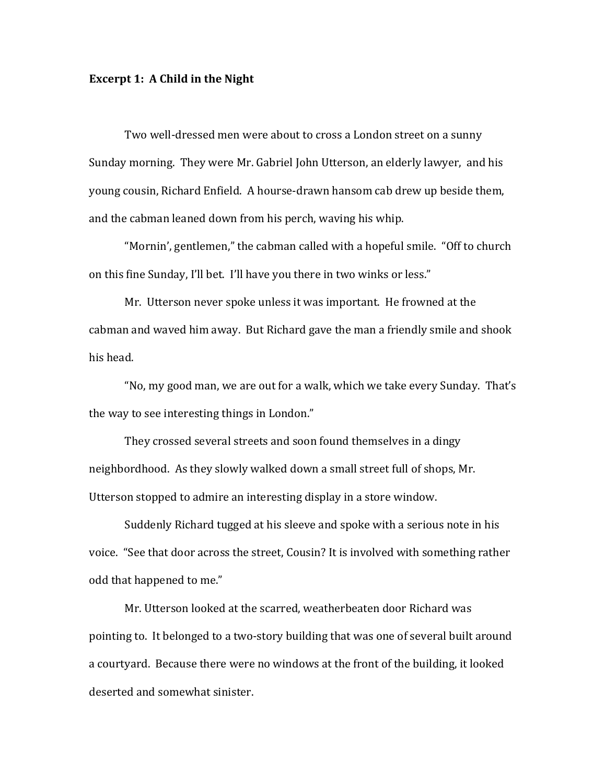## **Excerpt 1: A Child in the Night**

Two well-dressed men were about to cross a London street on a sunny Sunday morning. They were Mr. Gabriel John Utterson, an elderly lawyer, and his young cousin, Richard Enfield. A hourse-drawn hansom cab drew up beside them, and the cabman leaned down from his perch, waving his whip.

"Mornin', gentlemen," the cabman called with a hopeful smile. "Off to church on this fine Sunday, I'll bet. I'll have you there in two winks or less."

Mr. Utterson never spoke unless it was important. He frowned at the cabman and waved him away. But Richard gave the man a friendly smile and shook his head.

"No, my good man, we are out for a walk, which we take every Sunday. That's the way to see interesting things in London."

They crossed several streets and soon found themselves in a dingy neighbordhood. As they slowly walked down a small street full of shops, Mr. Utterson stopped to admire an interesting display in a store window.

Suddenly Richard tugged at his sleeve and spoke with a serious note in his voice. "See that door across the street, Cousin? It is involved with something rather odd that happened to me."

Mr. Utterson looked at the scarred, weatherbeaten door Richard was pointing to. It belonged to a two-story building that was one of several built around a courtyard. Because there were no windows at the front of the building, it looked deserted and somewhat sinister.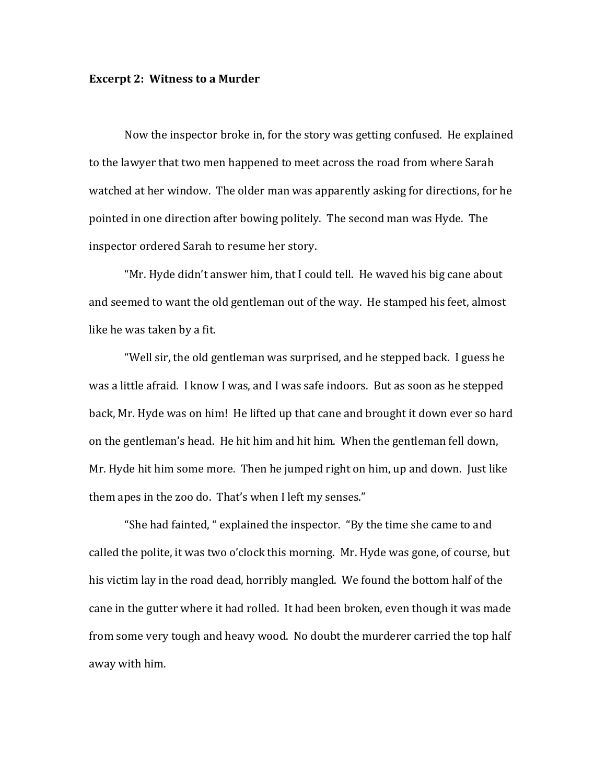## **Excerpt 2: Witness to a Murder**

Now the inspector broke in, for the story was getting confused. He explained to the lawyer that two men happened to meet across the road from where Sarah watched at her window. The older man was apparently asking for directions, for he pointed in one direction after bowing politely. The second man was Hyde. The inspector ordered Sarah to resume her story.

"Mr. Hyde didn't answer him, that I could tell. He waved his big cane about and seemed to want the old gentleman out of the way. He stamped his feet, almost like he was taken by a fit.

"Well sir, the old gentleman was surprised, and he stepped back. I guess he was a little afraid. I know I was, and I was safe indoors. But as soon as he stepped back, Mr. Hyde was on him! He lifted up that cane and brought it down ever so hard on the gentleman's head. He hit him and hit him. When the gentleman fell down, Mr. Hyde hit him some more. Then he jumped right on him, up and down. Just like them apes in the zoo do. That's when I left my senses."

"She had fainted, " explained the inspector. "By the time she came to and called the polite, it was two o'clock this morning. Mr. Hyde was gone, of course, but his victim lay in the road dead, horribly mangled. We found the bottom half of the cane in the gutter where it had rolled. It had been broken, even though it was made from some very tough and heavy wood. No doubt the murderer carried the top half away with him.